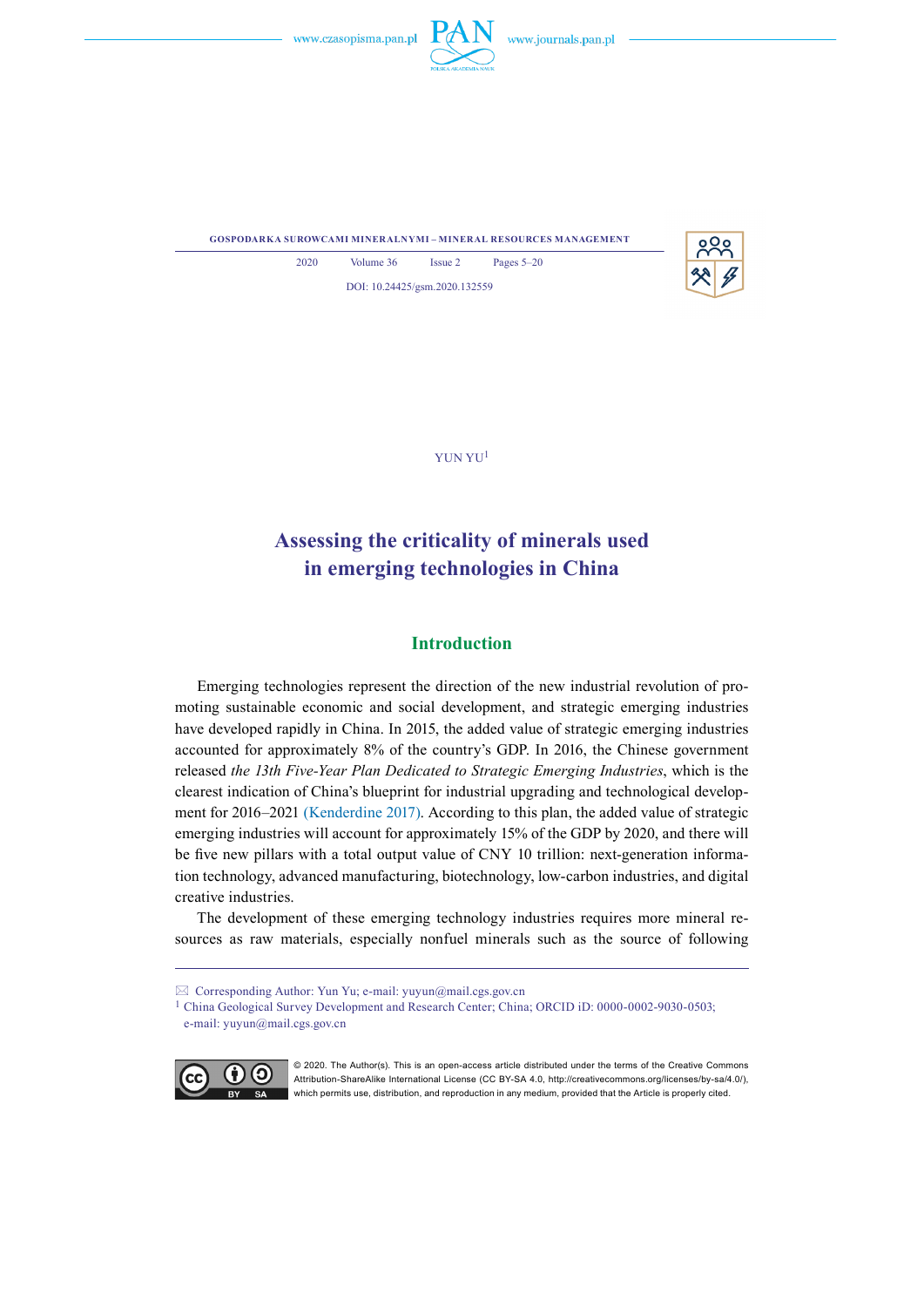

**gospodarka surowcami mineralnymi – mineral resources management**



2020 Volume 36 Issue 2 Pages 5–20 DOI: 10.24425/gsm.2020.132559

YuN Yu<sup>1</sup>

# **Assessing the criticality of minerals used in emerging technologies in China**

# **Introduction**

Emerging technologies represent the direction of the new industrial revolution of promoting sustainable economic and social development, and strategic emerging industries have developed rapidly in China. In 2015, the added value of strategic emerging industries accounted for approximately 8% of the country's GDP. In 2016, the Chinese government released *the 13th Five-Year Plan Dedicated to Strategic Emerging Industries*, which is the clearest indication of China's blueprint for industrial upgrading and technological development for 2016–2021 (Kenderdine 2017). According to this plan, the added value of strategic emerging industries will account for approximately 15% of the GDP by 2020, and there will be five new pillars with a total output value of CNY 10 trillion: next-generation information technology, advanced manufacturing, biotechnology, low-carbon industries, and digital creative industries.

The development of these emerging technology industries requires more mineral resources as raw materials, especially nonfuel minerals such as the source of following

<sup>&</sup>lt;sup>1</sup> China Geological Survey Development and Research Center; China; ORCID iD: 0000-0002-9030-0503; e-mail: yuyun@mail.cgs.gov.cn



<sup>© 2020.</sup> The Author(s). This is an open-access article distributed under the terms of the Creative Commons Attribution-ShareAlike International License (CC BY-SA 4.0, http://creativecommons.org/licenses/by-sa/4.0/), which permits use, distribution, and reproduction in any medium, provided that the Article is properly cited.

Corresponding Author: Yun Yu; e-mail: yuyun@mail.cgs.gov.cn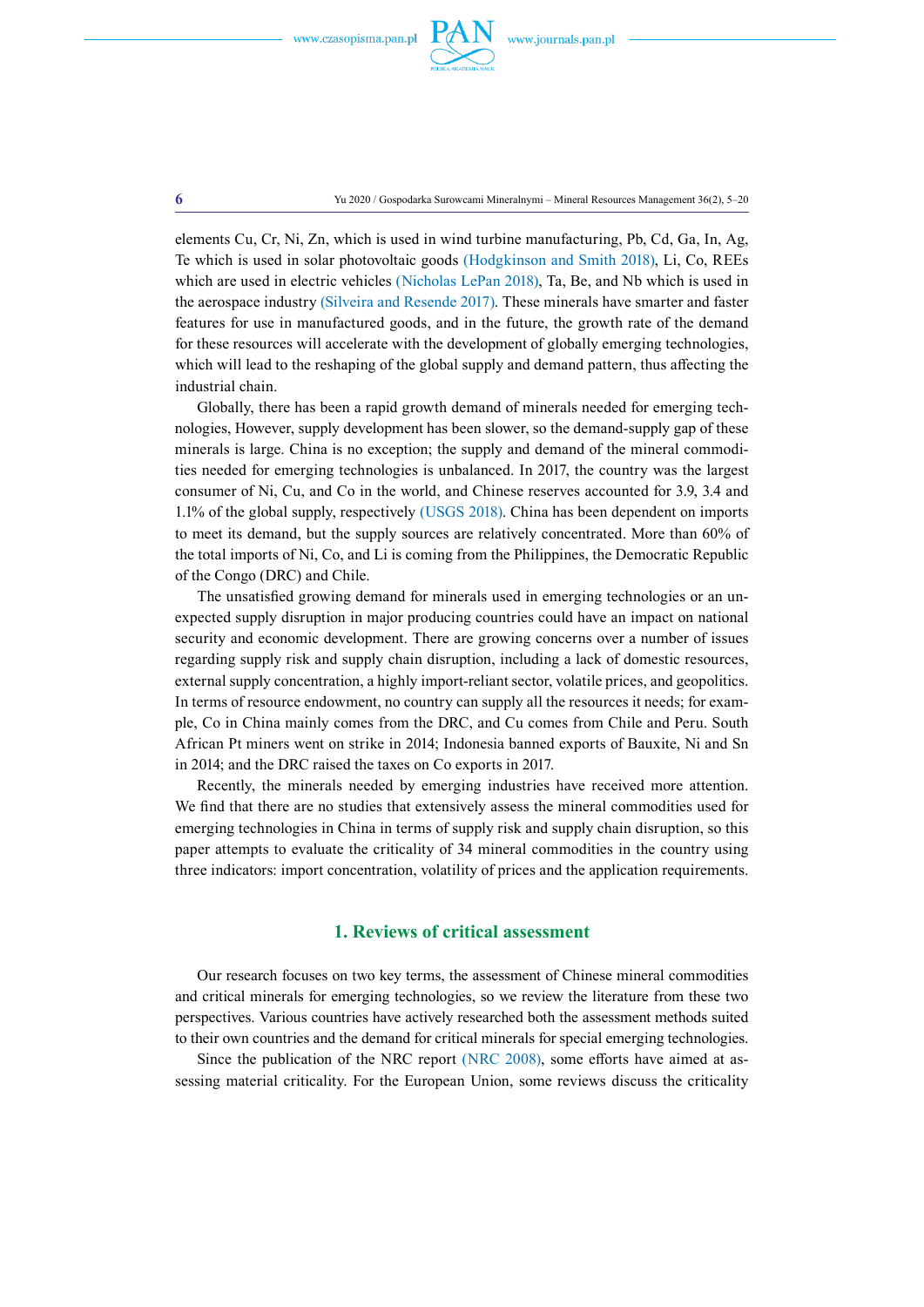

elements Cu, Cr, Ni, Zn, which is used in wind turbine manufacturing, Pb, Cd, Ga, In, Ag, Te which is used in solar photovoltaic goods (Hodgkinson and Smith 2018), Li, Co, REEs which are used in electric vehicles (Nicholas LePan 2018), Ta, Be, and Nb which is used in the aerospace industry (Silveira and Resende 2017). These minerals have smarter and faster features for use in manufactured goods, and in the future, the growth rate of the demand for these resources will accelerate with the development of globally emerging technologies, which will lead to the reshaping of the global supply and demand pattern, thus affecting the industrial chain.

Globally, there has been a rapid growth demand of minerals needed for emerging technologies, However, supply development has been slower, so the demand-supply gap of these minerals is large. China is no exception; the supply and demand of the mineral commodities needed for emerging technologies is unbalanced. In 2017, the country was the largest consumer of Ni, Cu, and Co in the world, and Chinese reserves accounted for 3.9, 3.4 and 1.1% of the global supply, respectively (USGS 2018). China has been dependent on imports to meet its demand, but the supply sources are relatively concentrated. More than 60% of the total imports of Ni, Co, and Li is coming from the Philippines, the Democratic Republic of the Congo (DRC) and Chile.

The unsatisfied growing demand for minerals used in emerging technologies or an unexpected supply disruption in major producing countries could have an impact on national security and economic development. There are growing concerns over a number of issues regarding supply risk and supply chain disruption, including a lack of domestic resources, external supply concentration, a highly import-reliant sector, volatile prices, and geopolitics. In terms of resource endowment, no country can supply all the resources it needs; for example, Co in China mainly comes from the DRC, and Cu comes from Chile and Peru. South African Pt miners went on strike in 2014; Indonesia banned exports of Bauxite, Ni and Sn in 2014; and the DRC raised the taxes on Co exports in 2017.

Recently, the minerals needed by emerging industries have received more attention. We find that there are no studies that extensively assess the mineral commodities used for emerging technologies in China in terms of supply risk and supply chain disruption, so this paper attempts to evaluate the criticality of 34 mineral commodities in the country using three indicators: import concentration, volatility of prices and the application requirements.

## **1. Reviews of critical assessment**

Our research focuses on two key terms, the assessment of Chinese mineral commodities and critical minerals for emerging technologies, so we review the literature from these two perspectives. Various countries have actively researched both the assessment methods suited to their own countries and the demand for critical minerals for special emerging technologies.

Since the publication of the NRC report (NRC 2008), some efforts have aimed at assessing material criticality. For the European Union, some reviews discuss the criticality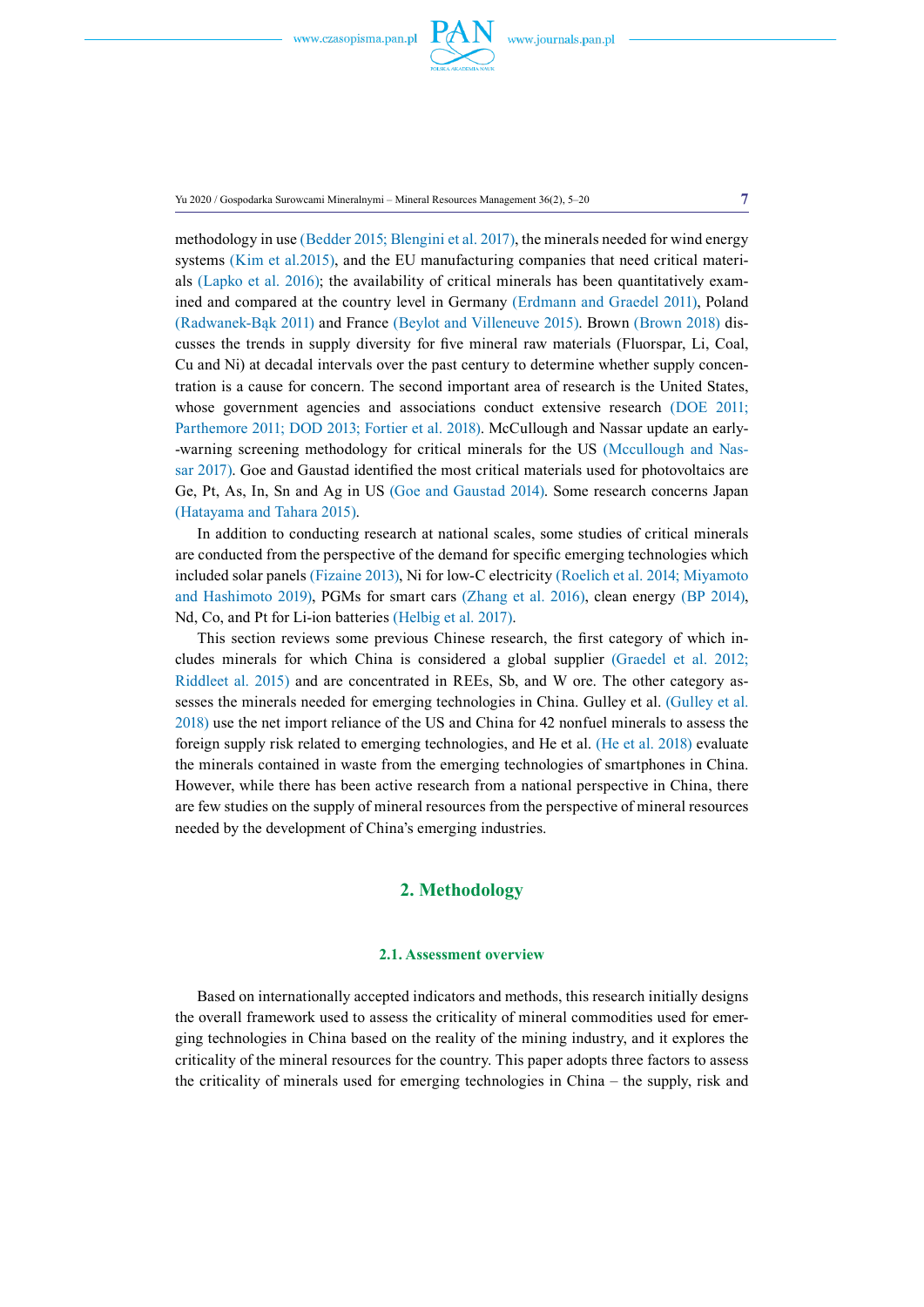

Yu 2020 / Gospodarka Surowcami Mineralnymi – Mineral Resources Management 36(2), 5–20 **7**

methodology in use (Bedder 2015; Blengini et al. 2017), the minerals needed for wind energy systems (Kim et al.2015), and the EU manufacturing companies that need critical materials (Lapko et al. 2016); the availability of critical minerals has been quantitatively examined and compared at the country level in Germany (Erdmann and Graedel 2011), Poland (Radwanek-Bąk 2011) and France (Beylot and Villeneuve 2015). Brown (Brown 2018) discusses the trends in supply diversity for five mineral raw materials (Fluorspar, Li, Coal, Cu and Ni) at decadal intervals over the past century to determine whether supply concentration is a cause for concern. The second important area of research is the United States, whose government agencies and associations conduct extensive research (DOE 2011; Parthemore 2011; DOD 2013; Fortier et al. 2018). McCullough and Nassar update an early--warning screening methodology for critical minerals for the US (Mccullough and Nassar 2017). Goe and Gaustad identified the most critical materials used for photovoltaics are Ge, Pt, As, In, Sn and Ag in US (Goe and Gaustad 2014). Some research concerns Japan (Hatayama and Tahara 2015).

In addition to conducting research at national scales, some studies of critical minerals are conducted from the perspective of the demand for specific emerging technologies which included solar panels (Fizaine 2013), Ni for low-C electricity (Roelich et al. 2014; Miyamoto and Hashimoto 2019), PGMs for smart cars (Zhang et al. 2016), clean energy (BP 2014), Nd, Co, and Pt for Li-ion batteries (Helbig et al. 2017).

This section reviews some previous Chinese research, the first category of which includes minerals for which China is considered a global supplier (Graedel et al. 2012; Riddleet al. 2015) and are concentrated in REEs, Sb, and W ore. The other category assesses the minerals needed for emerging technologies in China. Gulley et al. (Gulley et al. 2018) use the net import reliance of the US and China for 42 nonfuel minerals to assess the foreign supply risk related to emerging technologies, and He et al. (He et al. 2018) evaluate the minerals contained in waste from the emerging technologies of smartphones in China. However, while there has been active research from a national perspective in China, there are few studies on the supply of mineral resources from the perspective of mineral resources needed by the development of China's emerging industries.

# **2. Methodology**

#### **2.1. Assessment overview**

Based on internationally accepted indicators and methods, this research initially designs the overall framework used to assess the criticality of mineral commodities used for emerging technologies in China based on the reality of the mining industry, and it explores the criticality of the mineral resources for the country. This paper adopts three factors to assess the criticality of minerals used for emerging technologies in China – the supply, risk and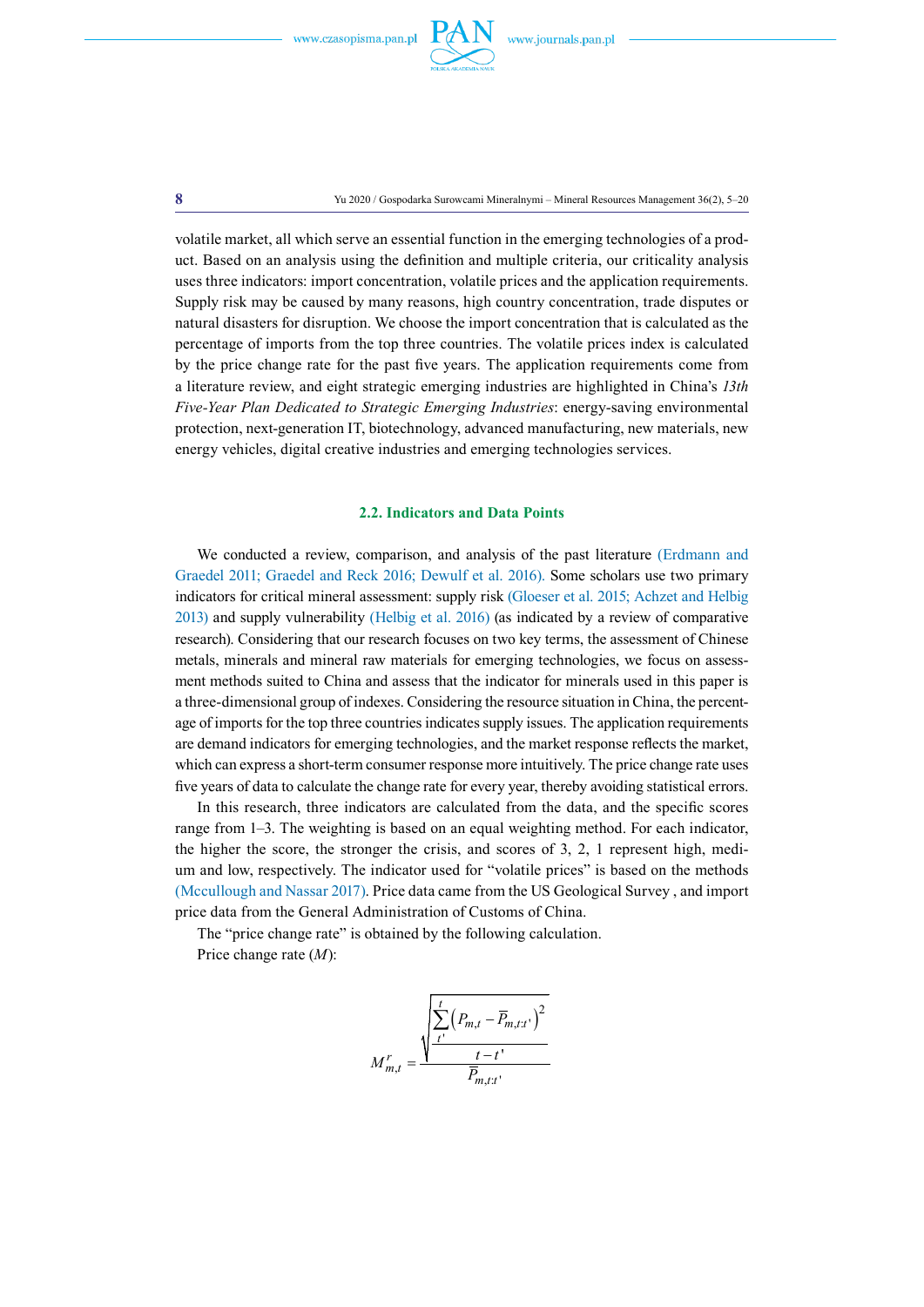

volatile market, all which serve an essential function in the emerging technologies of a product. Based on an analysis using the definition and multiple criteria, our criticality analysis uses three indicators: import concentration, volatile prices and the application requirements. Supply risk may be caused by many reasons, high country concentration, trade disputes or natural disasters for disruption. We choose the import concentration that is calculated as the percentage of imports from the top three countries. The volatile prices index is calculated by the price change rate for the past five years. The application requirements come from a literature review, and eight strategic emerging industries are highlighted in China's *13th Five-Year Plan Dedicated to Strategic Emerging Industries*: energy-saving environmental protection, next-generation IT, biotechnology, advanced manufacturing, new materials, new energy vehicles, digital creative industries and emerging technologies services.

#### **2.2. Indicators and Data Points**

We conducted a review, comparison, and analysis of the past literature (Erdmann and Graedel 2011; Graedel and Reck 2016; Dewulf et al. 2016). Some scholars use two primary indicators for critical mineral assessment: supply risk (Gloeser et al. 2015; Achzet and Helbig 2013) and supply vulnerability (Helbig et al. 2016) (as indicated by a review of comparative research). Considering that our research focuses on two key terms, the assessment of Chinese metals, minerals and mineral raw materials for emerging technologies, we focus on assessment methods suited to China and assess that the indicator for minerals used in this paper is a three-dimensional group of indexes. Considering the resource situation in China, the percentage of imports for the top three countries indicates supply issues. The application requirements are demand indicators for emerging technologies, and the market response reflects the market, which can express a short-term consumer response more intuitively. The price change rate uses five years of data to calculate the change rate for every year, thereby avoiding statistical errors.

In this research, three indicators are calculated from the data, and the specific scores range from 1–3. The weighting is based on an equal weighting method. For each indicator, the higher the score, the stronger the crisis, and scores of 3, 2, 1 represent high, medium and low, respectively. The indicator used for "volatile prices" is based on the methods (Mccullough and Nassar 2017). Price data came from the US Geological Survey , and import price data from the General Administration of Customs of China.

The "price change rate" is obtained by the following calculation.

Price change rate (*M*):

$$
M_{m,t}^r = \frac{\sqrt{\frac{t}{t'}\left(P_{m,t} - \overline{P}_{m,t:t'}\right)^2}}{\frac{t-t}{\overline{P}_{m,t:t'}}}
$$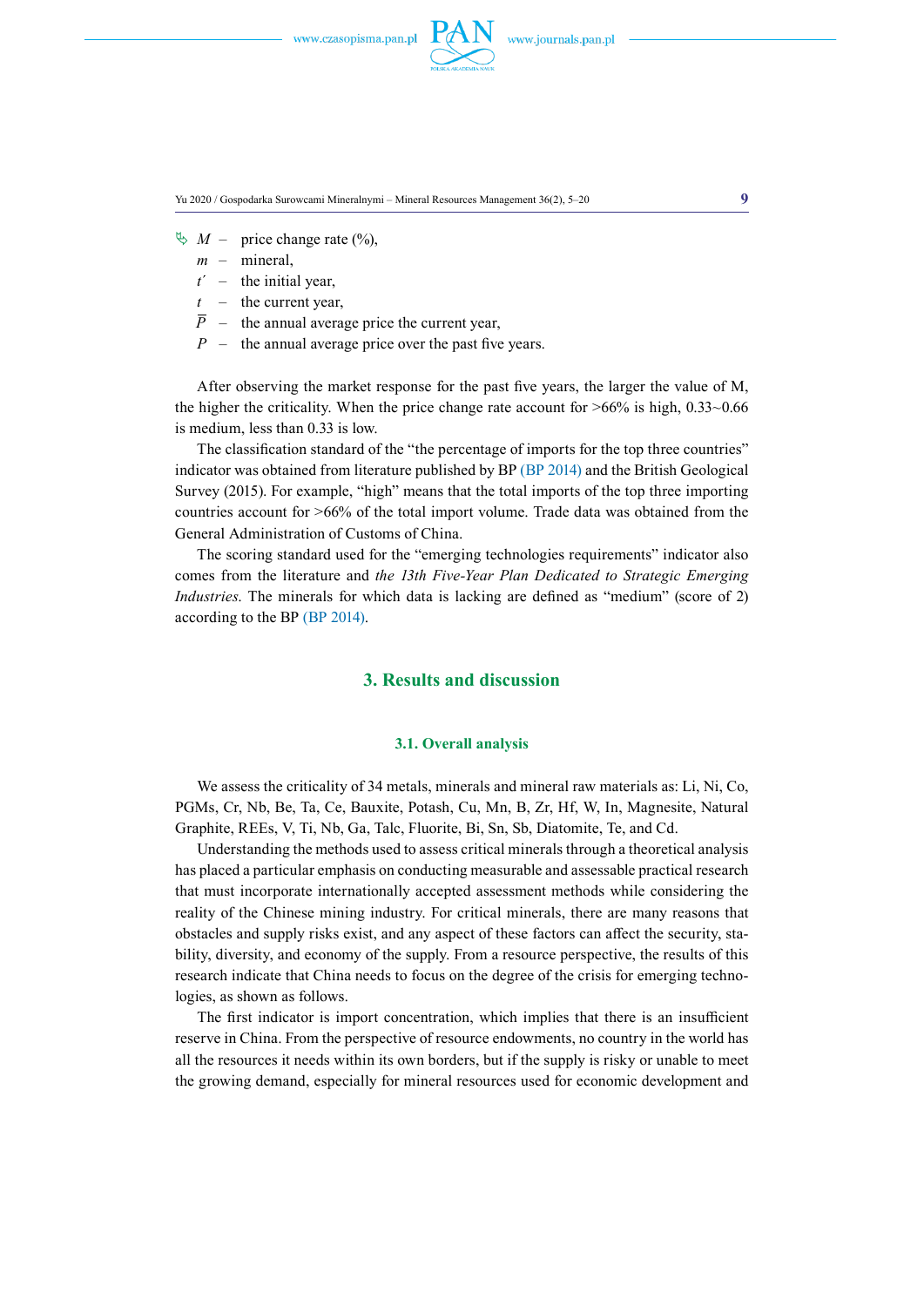

Yu 2020 / Gospodarka Surowcami Mineralnymi – Mineral Resources Management 36(2), 5–20 **9**

 $\& M$  – price change rate (%),

- *m* mineral,
- $t'$  the initial year,
- *t* the current year,
- $\overline{P}$  the annual average price the current year,
- *P* the annual average price over the past five years.

After observing the market response for the past five years, the larger the value of M, the higher the criticality. When the price change rate account for  $>66\%$  is high, 0.33 $\sim$ 0.66 is medium, less than 0.33 is low.

The classification standard of the "the percentage of imports for the top three countries" indicator was obtained from literature published by BP (BP 2014) and the British Geological Survey (2015). For example, "high" means that the total imports of the top three importing countries account for >66% of the total import volume. Trade data was obtained from the General Administration of Customs of China.

The scoring standard used for the "emerging technologies requirements" indicator also comes from the literature and *the 13th Five-Year Plan Dedicated to Strategic Emerging Industries*. The minerals for which data is lacking are defined as "medium" (score of 2) according to the BP (BP 2014).

# **3. Results and discussion**

#### **3.1. Overall analysis**

We assess the criticality of 34 metals, minerals and mineral raw materials as: Li, Ni, Co, PGMs, Cr, Nb, Be, Ta, Ce, Bauxite, Potash, Cu, Mn, B, Zr, Hf, W, In, Magnesite, Natural Graphite, REEs, V, Ti, Nb, Ga, Talc, Fluorite, Bi, Sn, Sb, Diatomite, Te, and Cd.

Understanding the methods used to assess critical minerals through a theoretical analysis has placed a particular emphasis on conducting measurable and assessable practical research that must incorporate internationally accepted assessment methods while considering the reality of the Chinese mining industry. For critical minerals, there are many reasons that obstacles and supply risks exist, and any aspect of these factors can affect the security, stability, diversity, and economy of the supply. From a resource perspective, the results of this research indicate that China needs to focus on the degree of the crisis for emerging technologies, as shown as follows.

The first indicator is import concentration, which implies that there is an insufficient reserve in China. From the perspective of resource endowments, no country in the world has all the resources it needs within its own borders, but if the supply is risky or unable to meet the growing demand, especially for mineral resources used for economic development and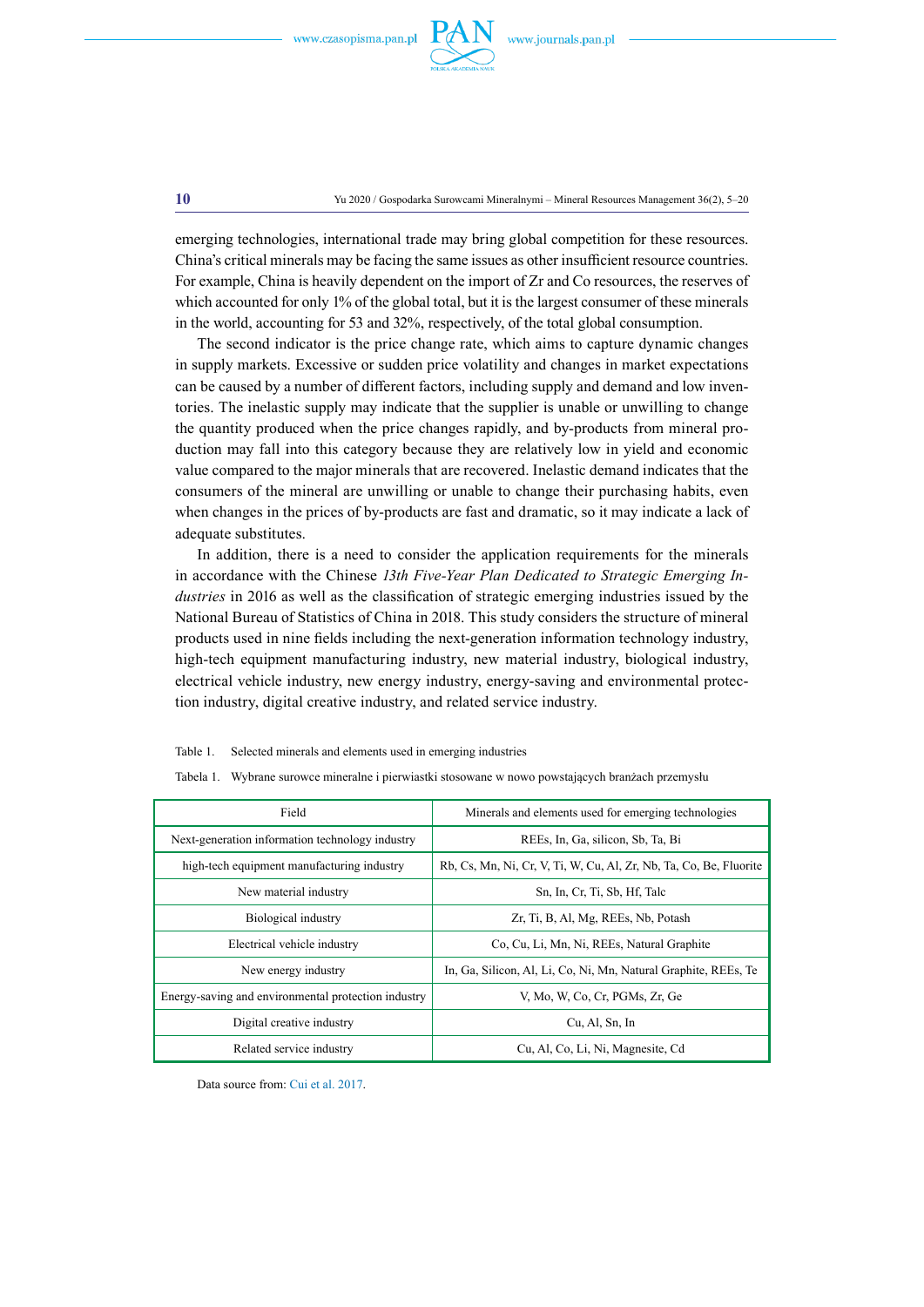

**10** Yu 2020 / Gospodarka Surowcami Mineralnymi – Mineral Resources Management 36(2), 5–20

emerging technologies, international trade may bring global competition for these resources. China's critical minerals may be facing the same issues as other insufficient resource countries. For example, China is heavily dependent on the import of Zr and Co resources, the reserves of which accounted for only 1% of the global total, but it is the largest consumer of these minerals in the world, accounting for 53 and 32%, respectively, of the total global consumption.

The second indicator is the price change rate, which aims to capture dynamic changes in supply markets. Excessive or sudden price volatility and changes in market expectations can be caused by a number of different factors, including supply and demand and low inventories. The inelastic supply may indicate that the supplier is unable or unwilling to change the quantity produced when the price changes rapidly, and by-products from mineral production may fall into this category because they are relatively low in yield and economic value compared to the major minerals that are recovered. Inelastic demand indicates that the consumers of the mineral are unwilling or unable to change their purchasing habits, even when changes in the prices of by-products are fast and dramatic, so it may indicate a lack of adequate substitutes.

In addition, there is a need to consider the application requirements for the minerals in accordance with the Chinese *13th Five-Year Plan Dedicated to Strategic Emerging Industries* in 2016 as well as the classification of strategic emerging industries issued by the National Bureau of Statistics of China in 2018. This study considers the structure of mineral products used in nine fields including the next-generation information technology industry, high-tech equipment manufacturing industry, new material industry, biological industry, electrical vehicle industry, new energy industry, energy-saving and environmental protection industry, digital creative industry, and related service industry.

|--|

|  | Tabela 1. Wybrane surowce mineralne i pierwiastki stosowane w nowo powstających branżach przemysło |  |  |  |  |
|--|----------------------------------------------------------------------------------------------------|--|--|--|--|
|  |                                                                                                    |  |  |  |  |
|  |                                                                                                    |  |  |  |  |
|  |                                                                                                    |  |  |  |  |

| Field                                               | Minerals and elements used for emerging technologies               |  |  |  |
|-----------------------------------------------------|--------------------------------------------------------------------|--|--|--|
| Next-generation information technology industry     | REEs, In, Ga, silicon, Sb, Ta, Bi                                  |  |  |  |
| high-tech equipment manufacturing industry          | Rb, Cs, Mn, Ni, Cr, V, Ti, W, Cu, Al, Zr, Nb, Ta, Co, Be, Fluorite |  |  |  |
| New material industry                               | Sn. In, Cr. Ti, Sb, Hf, Talc                                       |  |  |  |
| Biological industry                                 | Zr, Ti, B, Al, Mg, REEs, Nb, Potash                                |  |  |  |
| Electrical vehicle industry                         | Co, Cu, Li, Mn, Ni, REEs, Natural Graphite                         |  |  |  |
| New energy industry                                 | In, Ga, Silicon, Al, Li, Co, Ni, Mn, Natural Graphite, REEs, Te    |  |  |  |
| Energy-saving and environmental protection industry | V. Mo. W. Co. Cr. PGMs. Zr. Ge                                     |  |  |  |
| Digital creative industry                           | Cu, Al, Sn, In                                                     |  |  |  |
| Related service industry                            | Cu, Al, Co, Li, Ni, Magnesite, Cd                                  |  |  |  |

Data source from: Cui et al. 2017.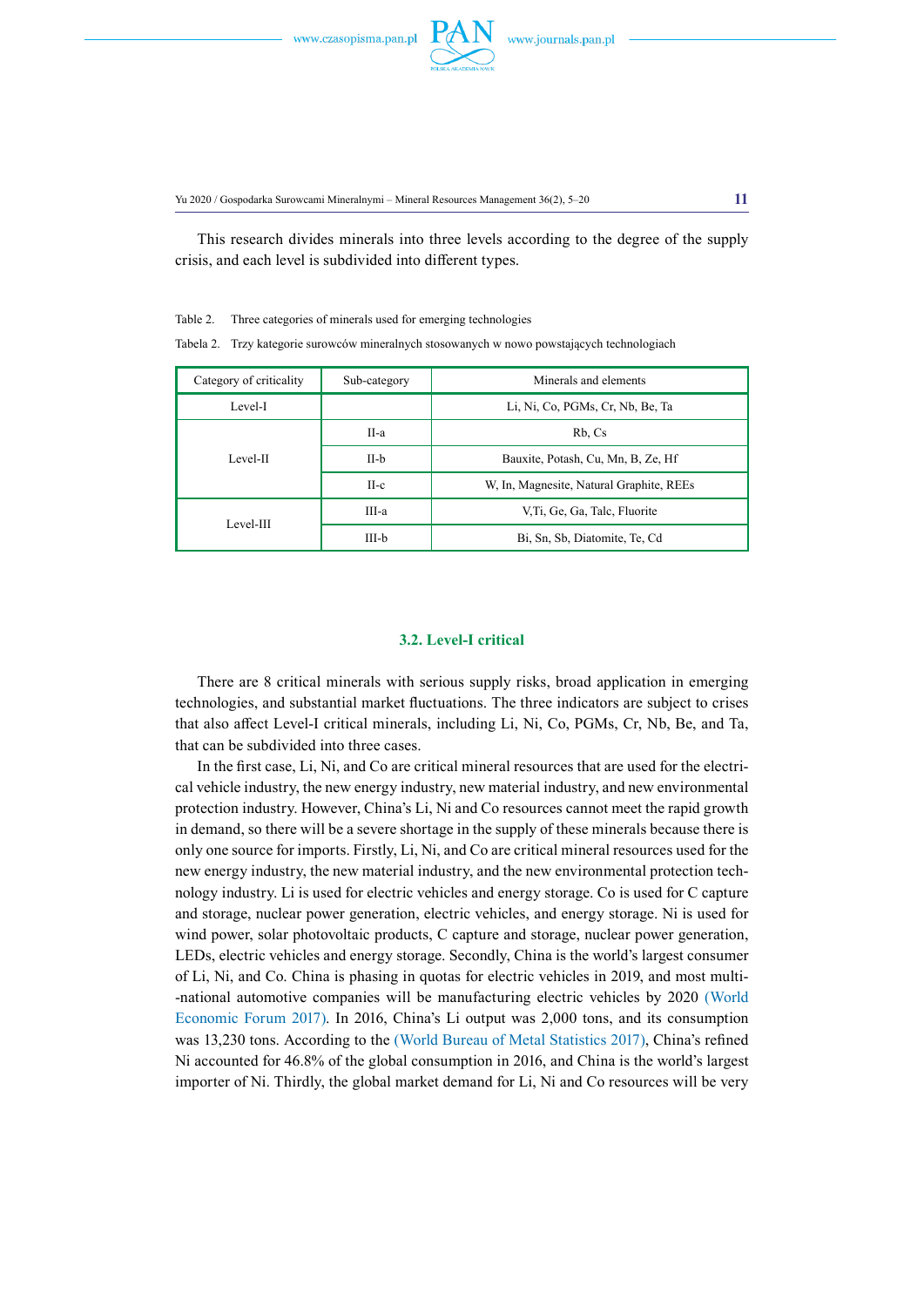

Yu 2020 / Gospodarka Surowcami Mineralnymi – Mineral Resources Management 36(2), 5–20 **11**

This research divides minerals into three levels according to the degree of the supply crisis, and each level is subdivided into different types.

Table 2. Three categories of minerals used for emerging technologies

Tabela 2. Trzy kategorie surowców mineralnych stosowanych w nowo powstających technologiach

| Category of criticality | Sub-category | Minerals and elements                    |  |  |
|-------------------------|--------------|------------------------------------------|--|--|
| Level-I                 |              | Li, Ni, Co, PGMs, Cr, Nb, Be, Ta         |  |  |
|                         | II-a         | Rb, Cs                                   |  |  |
| Level-II                | $II-b$       | Bauxite, Potash, Cu, Mn, B, Ze, Hf       |  |  |
|                         | $II-c$       | W, In, Magnesite, Natural Graphite, REEs |  |  |
|                         | III-a        | V.Ti, Ge, Ga, Talc, Fluorite             |  |  |
| Level-III               | III-b        | Bi, Sn, Sb, Diatomite, Te, Cd            |  |  |

# **3.2. Level-I critical**

There are 8 critical minerals with serious supply risks, broad application in emerging technologies, and substantial market fluctuations. The three indicators are subject to crises that also affect Level-I critical minerals, including Li, Ni, Co, PGMs, Cr, Nb, Be, and Ta, that can be subdivided into three cases.

In the first case, Li, Ni, and Co are critical mineral resources that are used for the electrical vehicle industry, the new energy industry, new material industry, and new environmental protection industry. However, China's Li, Ni and Co resources cannot meet the rapid growth in demand, so there will be a severe shortage in the supply of these minerals because there is only one source for imports. Firstly, Li, Ni, and Co are critical mineral resources used for the new energy industry, the new material industry, and the new environmental protection technology industry. Li is used for electric vehicles and energy storage. Co is used for C capture and storage, nuclear power generation, electric vehicles, and energy storage. Ni is used for wind power, solar photovoltaic products, C capture and storage, nuclear power generation, LEDs, electric vehicles and energy storage. Secondly, China is the world's largest consumer of Li, Ni, and Co. China is phasing in quotas for electric vehicles in 2019, and most multi- -national automotive companies will be manufacturing electric vehicles by 2020 (World Economic Forum 2017). In 2016, China's Li output was 2,000 tons, and its consumption was 13,230 tons. According to the (World Bureau of Metal Statistics 2017), China's refined Ni accounted for 46.8% of the global consumption in 2016, and China is the world's largest importer of Ni. Thirdly, the global market demand for Li, Ni and Co resources will be very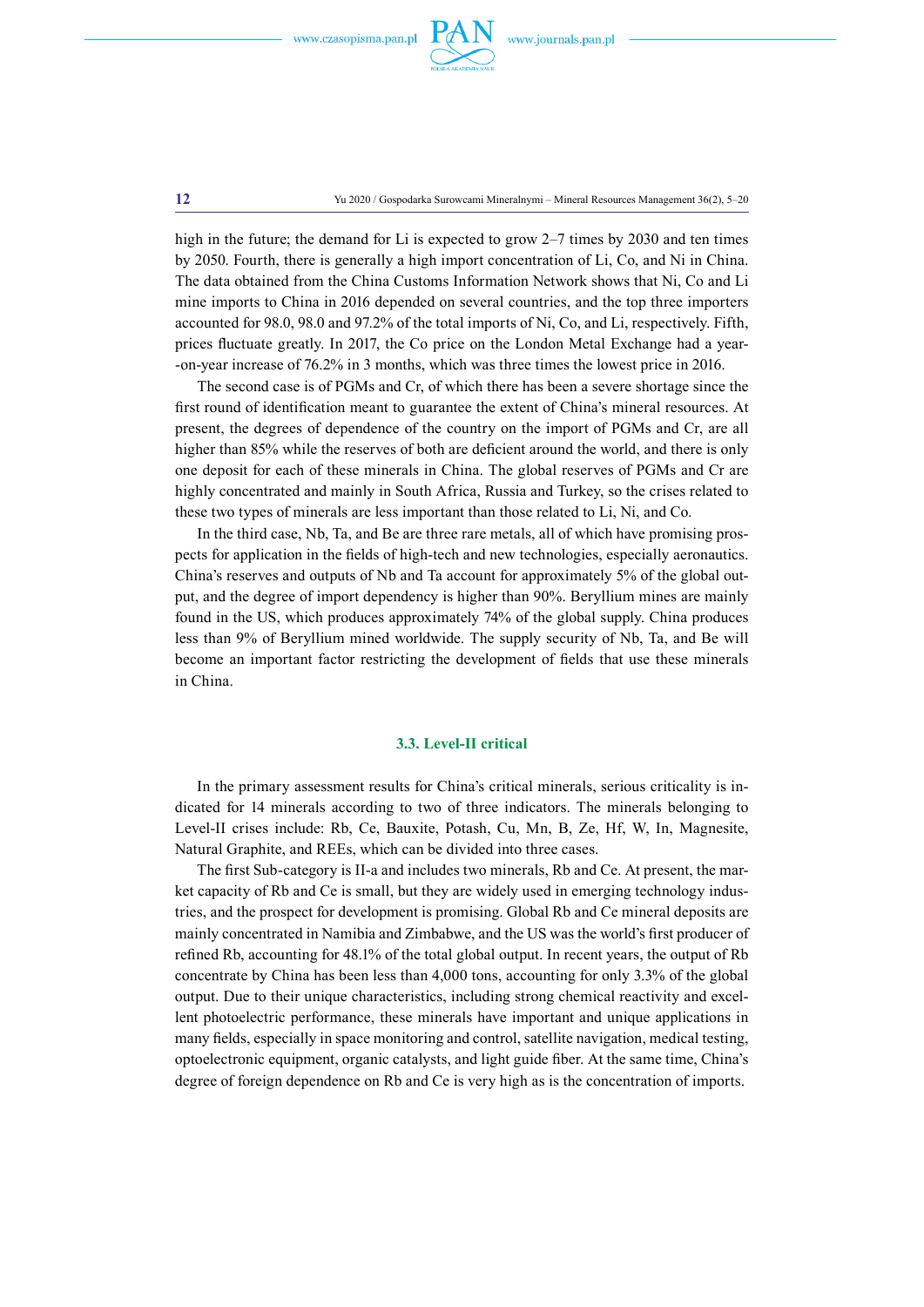

**12** Yu 2020 / Gospodarka Surowcami Mineralnymi – Mineral Resources Management 36(2), 5–20

high in the future; the demand for Li is expected to grow 2–7 times by 2030 and ten times by 2050. Fourth, there is generally a high import concentration of Li, Co, and Ni in China. The data obtained from the China Customs Information Network shows that Ni, Co and Li mine imports to China in 2016 depended on several countries, and the top three importers accounted for 98.0, 98.0 and 97.2% of the total imports of Ni, Co, and Li, respectively. Fifth, prices fluctuate greatly. In 2017, the Co price on the London Metal Exchange had a year- -on-year increase of 76.2% in 3 months, which was three times the lowest price in 2016.

The second case is of PGMs and Cr, of which there has been a severe shortage since the first round of identification meant to guarantee the extent of China's mineral resources. At present, the degrees of dependence of the country on the import of PGMs and Cr, are all higher than 85% while the reserves of both are deficient around the world, and there is only one deposit for each of these minerals in China. The global reserves of PGMs and Cr are highly concentrated and mainly in South Africa, Russia and Turkey, so the crises related to these two types of minerals are less important than those related to Li, Ni, and Co.

In the third case, Nb, Ta, and Be are three rare metals, all of which have promising prospects for application in the fields of high-tech and new technologies, especially aeronautics. China's reserves and outputs of Nb and Ta account for approximately 5% of the global output, and the degree of import dependency is higher than 90%. Beryllium mines are mainly found in the US, which produces approximately 74% of the global supply. China produces less than 9% of Beryllium mined worldwide. The supply security of Nb, Ta, and Be will become an important factor restricting the development of fields that use these minerals in China.

## **3.3. Level-II critical**

In the primary assessment results for China's critical minerals, serious criticality is indicated for 14 minerals according to two of three indicators. The minerals belonging to Level-II crises include: Rb, Ce, Bauxite, Potash, Cu, Mn, B, Ze, Hf, W, In, Magnesite, Natural Graphite, and REEs, which can be divided into three cases.

The first Sub-category is II-a and includes two minerals, Rb and Ce. At present, the market capacity of Rb and Ce is small, but they are widely used in emerging technology industries, and the prospect for development is promising. Global Rb and Ce mineral deposits are mainly concentrated in Namibia and Zimbabwe, and the US was the world's first producer of refined Rb, accounting for 48.1% of the total global output. In recent years, the output of Rb concentrate by China has been less than 4,000 tons, accounting for only 3.3% of the global output. Due to their unique characteristics, including strong chemical reactivity and excellent photoelectric performance, these minerals have important and unique applications in many fields, especially in space monitoring and control, satellite navigation, medical testing, optoelectronic equipment, organic catalysts, and light guide fiber. At the same time, China's degree of foreign dependence on Rb and Ce is very high as is the concentration of imports.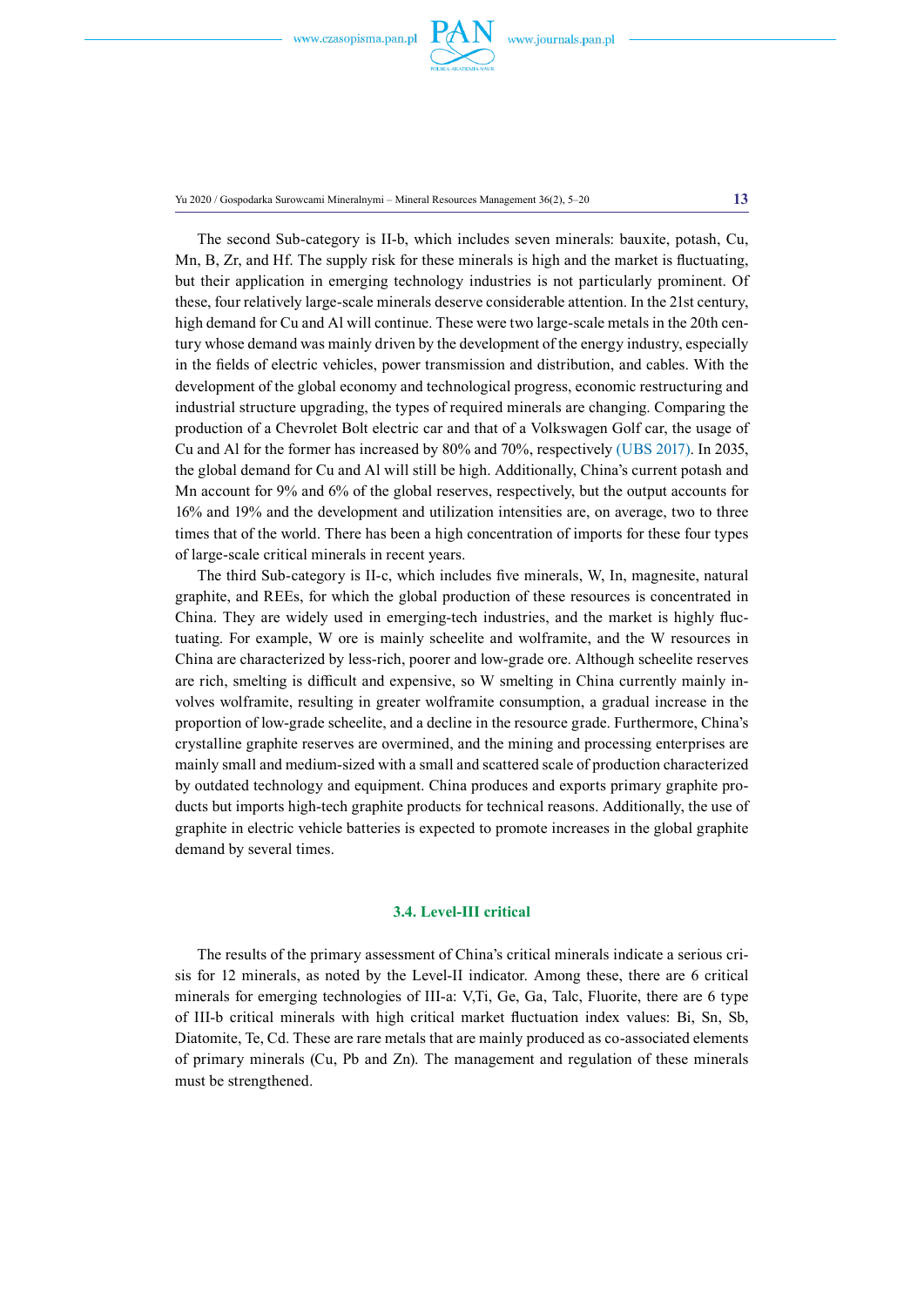

Yu 2020 / Gospodarka Surowcami Mineralnymi – Mineral Resources Management 36(2), 5–20 **13**

The second Sub-category is II-b, which includes seven minerals: bauxite, potash, Cu, Mn, B, Zr, and Hf. The supply risk for these minerals is high and the market is fluctuating, but their application in emerging technology industries is not particularly prominent. Of these, four relatively large-scale minerals deserve considerable attention. In the 21st century, high demand for Cu and Al will continue. These were two large-scale metals in the 20th century whose demand was mainly driven by the development of the energy industry, especially in the fields of electric vehicles, power transmission and distribution, and cables. With the development of the global economy and technological progress, economic restructuring and industrial structure upgrading, the types of required minerals are changing. Comparing the production of a Chevrolet Bolt electric car and that of a Volkswagen Golf car, the usage of Cu and Al for the former has increased by 80% and 70%, respectively (UBS 2017). In 2035, the global demand for Cu and Al will still be high. Additionally, China's current potash and Mn account for 9% and 6% of the global reserves, respectively, but the output accounts for 16% and 19% and the development and utilization intensities are, on average, two to three times that of the world. There has been a high concentration of imports for these four types of large-scale critical minerals in recent years.

The third Sub-category is II-c, which includes five minerals, W, In, magnesite, natural graphite, and REEs, for which the global production of these resources is concentrated in China. They are widely used in emerging-tech industries, and the market is highly fluctuating. For example, W ore is mainly scheelite and wolframite, and the W resources in China are characterized by less-rich, poorer and low-grade ore. Although scheelite reserves are rich, smelting is difficult and expensive, so W smelting in China currently mainly involves wolframite, resulting in greater wolframite consumption, a gradual increase in the proportion of low-grade scheelite, and a decline in the resource grade. Furthermore, China's crystalline graphite reserves are overmined, and the mining and processing enterprises are mainly small and medium-sized with a small and scattered scale of production characterized by outdated technology and equipment. China produces and exports primary graphite products but imports high-tech graphite products for technical reasons. Additionally, the use of graphite in electric vehicle batteries is expected to promote increases in the global graphite demand by several times.

# **3.4. Level-III critical**

The results of the primary assessment of China's critical minerals indicate a serious crisis for 12 minerals, as noted by the Level-II indicator. Among these, there are 6 critical minerals for emerging technologies of III-a: V,Ti, Ge, Ga, Talc, Fluorite, there are 6 type of III-b critical minerals with high critical market fluctuation index values: Bi, Sn, Sb, Diatomite, Te, Cd. These are rare metals that are mainly produced as co-associated elements of primary minerals (Cu, Pb and Zn). The management and regulation of these minerals must be strengthened.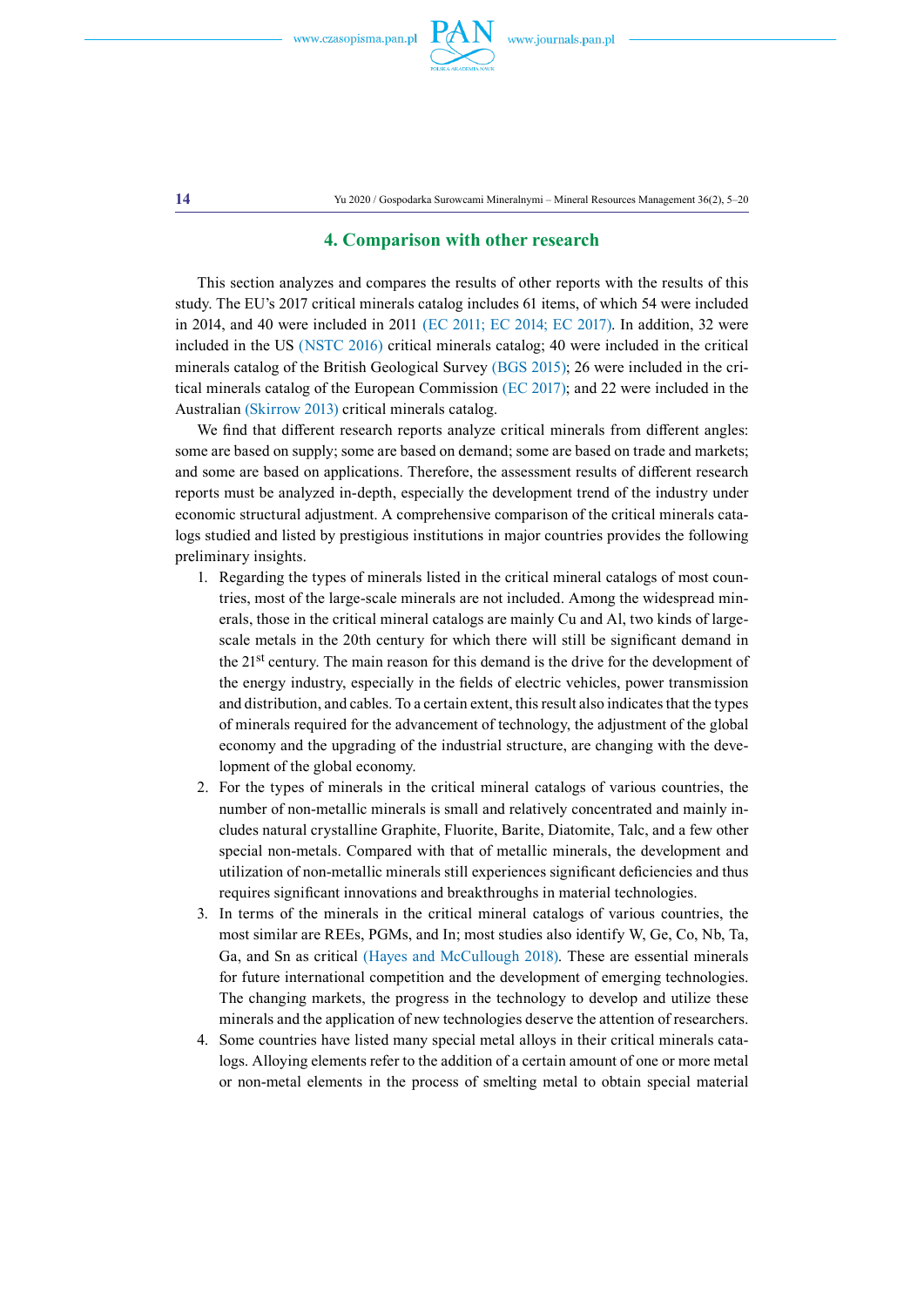

**14** Yu 2020 / Gospodarka Surowcami Mineralnymi – Mineral Resources Management 36(2), 5–20

# **4. Comparison with other research**

This section analyzes and compares the results of other reports with the results of this study. The EU's 2017 critical minerals catalog includes 61 items, of which 54 were included in 2014, and 40 were included in 2011 (EC 2011; EC 2014; EC 2017). In addition, 32 were included in the US (NSTC 2016) critical minerals catalog; 40 were included in the critical minerals catalog of the British Geological Survey (BGS 2015); 26 were included in the critical minerals catalog of the European Commission (EC 2017); and 22 were included in the Australian (Skirrow 2013) critical minerals catalog.

We find that different research reports analyze critical minerals from different angles: some are based on supply; some are based on demand; some are based on trade and markets; and some are based on applications. Therefore, the assessment results of different research reports must be analyzed in-depth, especially the development trend of the industry under economic structural adjustment. A comprehensive comparison of the critical minerals catalogs studied and listed by prestigious institutions in major countries provides the following preliminary insights.

- 1. Regarding the types of minerals listed in the critical mineral catalogs of most countries, most of the large-scale minerals are not included. Among the widespread minerals, those in the critical mineral catalogs are mainly Cu and Al, two kinds of largescale metals in the 20th century for which there will still be significant demand in the 21st century. The main reason for this demand is the drive for the development of the energy industry, especially in the fields of electric vehicles, power transmission and distribution, and cables. To a certain extent, this result also indicates that the types of minerals required for the advancement of technology, the adjustment of the global economy and the upgrading of the industrial structure, are changing with the development of the global economy.
- 2. For the types of minerals in the critical mineral catalogs of various countries, the number of non-metallic minerals is small and relatively concentrated and mainly includes natural crystalline Graphite, Fluorite, Barite, Diatomite, Talc, and a few other special non-metals. Compared with that of metallic minerals, the development and utilization of non-metallic minerals still experiences significant deficiencies and thus requires significant innovations and breakthroughs in material technologies.
- 3. In terms of the minerals in the critical mineral catalogs of various countries, the most similar are REEs, PGMs, and In; most studies also identify W, Ge, Co, Nb, Ta, Ga, and Sn as critical (Hayes and McCullough 2018). These are essential minerals for future international competition and the development of emerging technologies. The changing markets, the progress in the technology to develop and utilize these minerals and the application of new technologies deserve the attention of researchers.
- 4. Some countries have listed many special metal alloys in their critical minerals catalogs. Alloying elements refer to the addition of a certain amount of one or more metal or non-metal elements in the process of smelting metal to obtain special material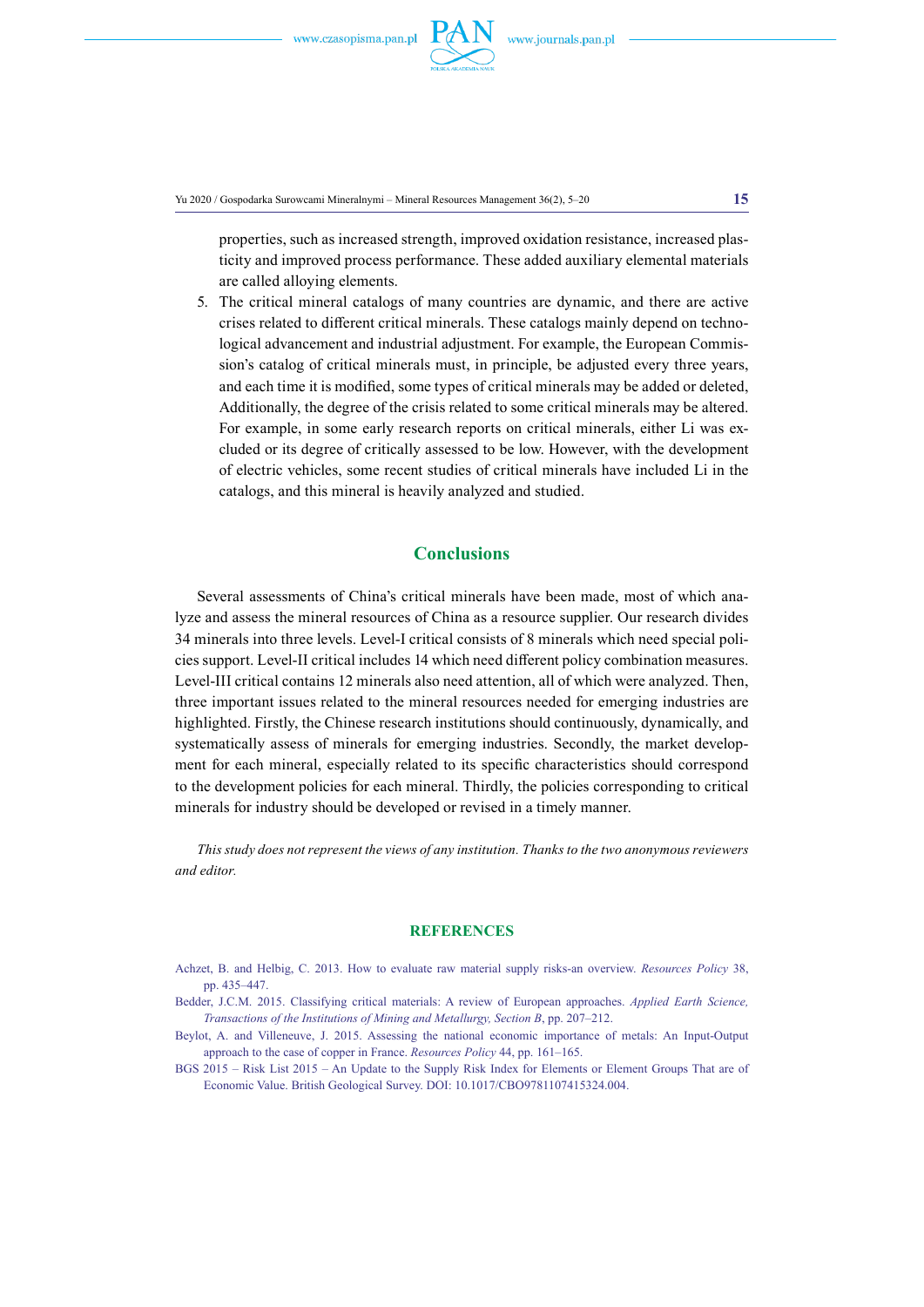

Yu 2020 / Gospodarka Surowcami Mineralnymi – Mineral Resources Management 36(2), 5–20 **15**

properties, such as increased strength, improved oxidation resistance, increased plasticity and improved process performance. These added auxiliary elemental materials are called alloying elements.

5. The critical mineral catalogs of many countries are dynamic, and there are active crises related to different critical minerals. These catalogs mainly depend on technological advancement and industrial adjustment. For example, the European Commission's catalog of critical minerals must, in principle, be adjusted every three years, and each time it is modified, some types of critical minerals may be added or deleted, Additionally, the degree of the crisis related to some critical minerals may be altered. For example, in some early research reports on critical minerals, either Li was excluded or its degree of critically assessed to be low. However, with the development of electric vehicles, some recent studies of critical minerals have included Li in the catalogs, and this mineral is heavily analyzed and studied.

# **Conclusions**

Several assessments of China's critical minerals have been made, most of which analyze and assess the mineral resources of China as a resource supplier. Our research divides 34 minerals into three levels. Level-I critical consists of 8 minerals which need special policies support. Level-II critical includes 14 which need different policy combination measures. Level-III critical contains 12 minerals also need attention, all of which were analyzed. Then, three important issues related to the mineral resources needed for emerging industries are highlighted. Firstly, the Chinese research institutions should continuously, dynamically, and systematically assess of minerals for emerging industries. Secondly, the market development for each mineral, especially related to its specific characteristics should correspond to the development policies for each mineral. Thirdly, the policies corresponding to critical minerals for industry should be developed or revised in a timely manner.

*This study does not represent the views of any institution. Thanks to the two anonymous reviewers and editor.*

#### **references**

- Achzet, B. and Helbig, C. 2013. How to evaluate raw material supply risks-an overview. *Resources Policy* 38, pp. 435–447.
- Bedder, J.C.M. 2015. Classifying critical materials: A review of European approaches. *Applied Earth Science, Transactions of the Institutions of Mining and Metallurgy, Section B*, pp. 207–212.
- Beylot, A. and Villeneuve, J. 2015. Assessing the national economic importance of metals: An Input-Output approach to the case of copper in France. *Resources Policy* 44, pp. 161–165.
- BGS 2015 Risk List 2015 An Update to the Supply Risk Index for Elements or Element Groups That are of Economic Value. British Geological Survey. DOI: 10.1017/CBO9781107415324.004.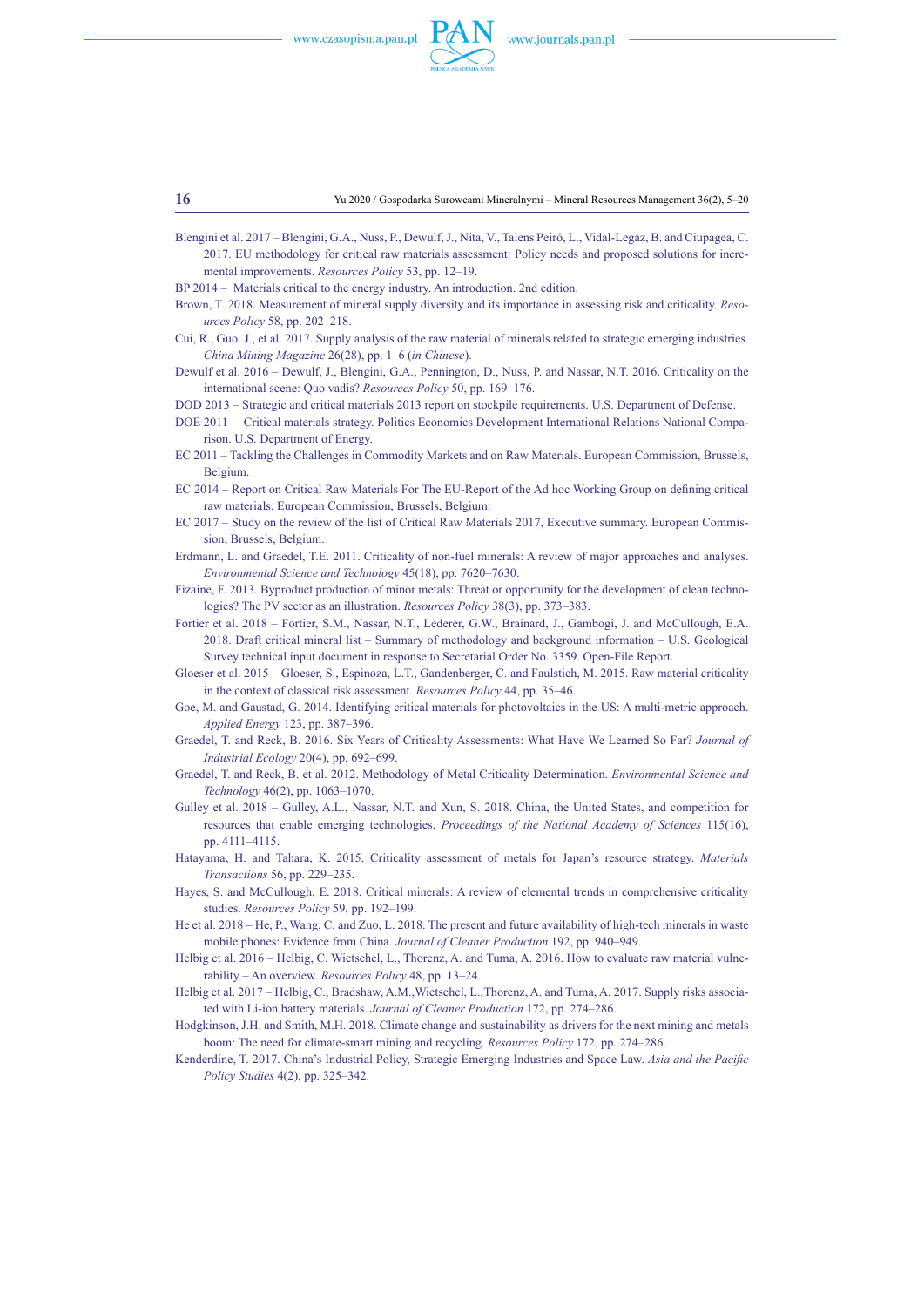

Blengini et al. 2017 – Blengini, G.A., Nuss, P., Dewulf, J., Nita, V., Talens Peiró, L., Vidal-Legaz, B. and Ciupagea, C. 2017. EU methodology for critical raw materials assessment: Policy needs and proposed solutions for incremental improvements. *Resources Policy* 53, pp. 12–19.

BP 2014 – Materials critical to the energy industry. An introduction. 2nd edition.

- Brown, T. 2018. Measurement of mineral supply diversity and its importance in assessing risk and criticality. *Resources Policy* 58, pp. 202–218.
- Cui, R., Guo. J., et al. 2017. Supply analysis of the raw material of minerals related to strategic emerging industries. *China Mining Magazine* 26(28), pp. 1–6 (*in Chinese*).

Dewulf et al. 2016 – Dewulf, J., Blengini, G.A., Pennington, D., Nuss, P. and Nassar, N.T. 2016. Criticality on the international scene: Quo vadis? *Resources Policy* 50, pp. 169–176.

DOD 2013 – Strategic and critical materials 2013 report on stockpile requirements. U.S. Department of Defense.

- DOE 2011 Critical materials strategy. Politics Economics Development International Relations National Comparison. U.S. Department of Energy.
- EC 2011 Tackling the Challenges in Commodity Markets and on Raw Materials. European Commission, Brussels, Belgium.
- EC 2014 Report on Critical Raw Materials For The EU-Report of the Ad hoc Working Group on defining critical raw materials. European Commission, Brussels, Belgium.
- EC 2017 Study on the review of the list of Critical Raw Materials 2017, Executive summary. European Commission, Brussels, Belgium.

Erdmann, L. and Graedel, T.E. 2011. Criticality of non-fuel minerals: A review of major approaches and analyses. *Environmental Science and Technology* 45(18), pp. 7620–7630.

- Fizaine, F. 2013. Byproduct production of minor metals: Threat or opportunity for the development of clean technologies? The PV sector as an illustration. *Resources Policy* 38(3), pp. 373–383.
- Fortier et al. 2018 Fortier, S.M., Nassar, N.T., Lederer, G.W., Brainard, J., Gambogi, J. and McCullough, E.A. 2018. Draft critical mineral list – Summary of methodology and background information – U.S. Geological Survey technical input document in response to Secretarial Order No. 3359. Open-File Report.

Gloeser et al. 2015 – Gloeser, S., Espinoza, L.T., Gandenberger, C. and Faulstich, M. 2015. Raw material criticality in the context of classical risk assessment. *Resources Policy* 44, pp. 35–46.

- Goe, M. and Gaustad, G. 2014. Identifying critical materials for photovoltaics in the US: A multi-metric approach. *Applied Energy* 123, pp. 387–396.
- Graedel, T. and Reck, B. 2016. Six Years of Criticality Assessments: What Have We Learned So Far? *Journal of Industrial Ecology* 20(4), pp. 692–699.
- Graedel, T. and Reck, B. et al. 2012. Methodology of Metal Criticality Determination. *Environmental Science and Technology* 46(2), pp. 1063–1070.
- Gulley et al. 2018 Gulley, A.L., Nassar, N.T. and Xun, S. 2018. China, the United States, and competition for resources that enable emerging technologies. *Proceedings of the National Academy of Sciences* 115(16), pp. 4111–4115.
- Hatayama, H. and Tahara, K. 2015. Criticality assessment of metals for Japan's resource strategy. *Materials Transactions* 56, pp. 229–235.
- Hayes, S. and McCullough, E. 2018. Critical minerals: A review of elemental trends in comprehensive criticality studies. *Resources Policy* 59, pp. 192–199.
- He et al. 2018 He, P., Wang, C. and Zuo, L. 2018. The present and future availability of high-tech minerals in waste mobile phones: Evidence from China. *Journal of Cleaner Production* 192, pp. 940–949.
- Helbig et al. 2016 Helbig, C. Wietschel, L., Thorenz, A. and Tuma, A. 2016. How to evaluate raw material vulnerability – An overview. *Resources Policy* 48, pp. 13–24.
- Helbig et al. 2017 Helbig, C., Bradshaw, A.M.,Wietschel, L.,Thorenz, A. and Tuma, A. 2017. Supply risks associated with Li-ion battery materials. *Journal of Cleaner Production* 172, pp. 274–286.
- Hodgkinson, J.H. and Smith, M.H. 2018. Climate change and sustainability as drivers for the next mining and metals boom: The need for climate-smart mining and recycling. *Resources Policy* 172, pp. 274–286.
- Kenderdine, T. 2017. China's Industrial Policy, Strategic Emerging Industries and Space Law. *Asia and the Pacific Policy Studies* 4(2), pp. 325–342.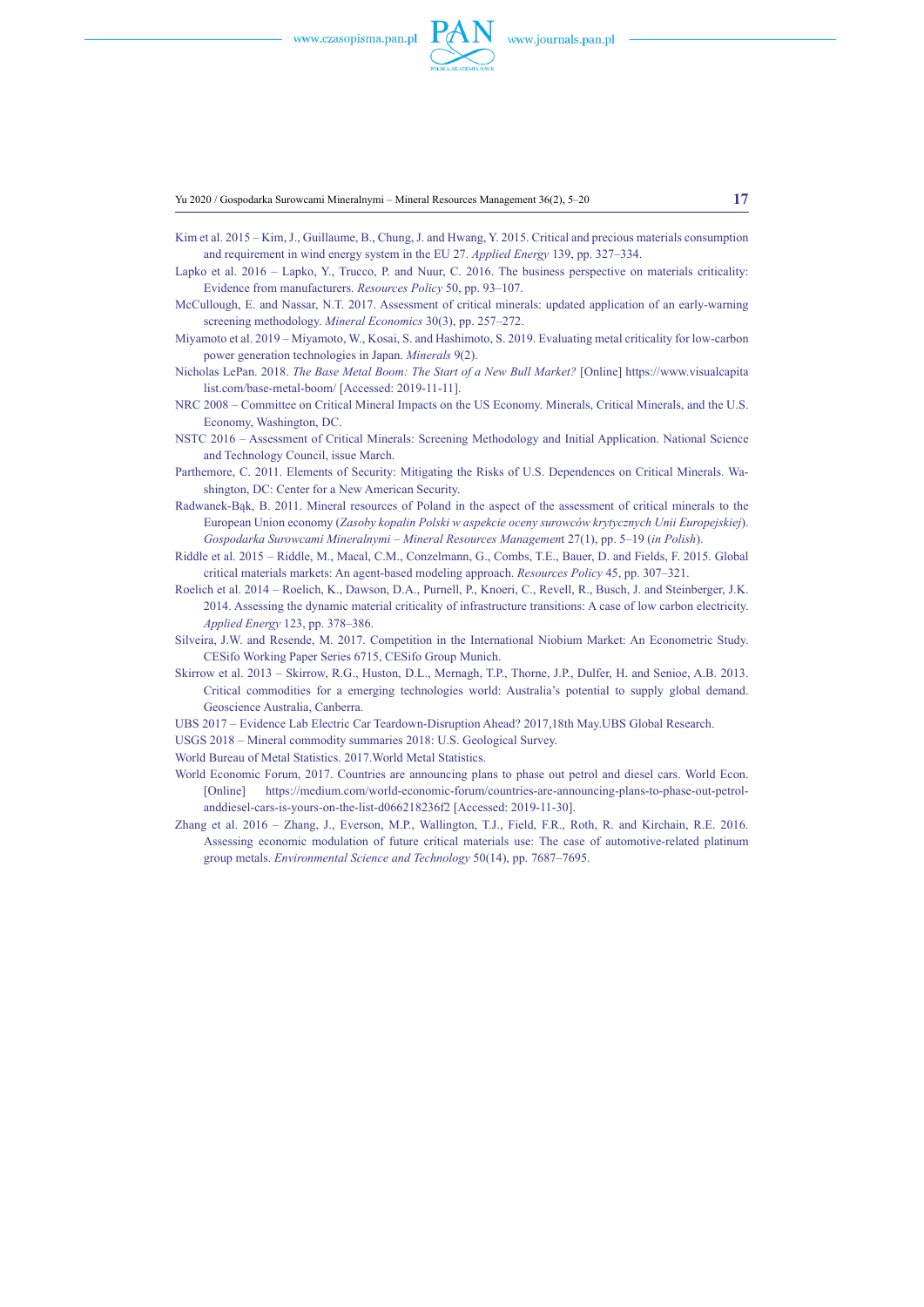

Yu 2020 / Gospodarka Surowcami Mineralnymi – Mineral Resources Management 36(2), 5–20 **17**

- Kim et al. 2015 Kim, J., Guillaume, B., Chung, J. and Hwang, Y. 2015. Critical and precious materials consumption and requirement in wind energy system in the EU 27. *Applied Energy* 139, pp. 327–334.
- Lapko et al. 2016 Lapko, Y., Trucco, P. and Nuur, C. 2016. The business perspective on materials criticality: Evidence from manufacturers. *Resources Policy* 50, pp. 93–107.
- McCullough, E. and Nassar, N.T. 2017. Assessment of critical minerals: updated application of an early-warning screening methodology. *Mineral Economics* 30(3), pp. 257–272.
- Miyamoto et al. 2019 Miyamoto, W., Kosai, S. and Hashimoto, S. 2019. Evaluating metal criticality for low-carbon power generation technologies in Japan. *Minerals* 9(2).
- Nicholas LePan. 2018. *The Base Metal Boom: The Start of a New Bull Market?* [Online] https://www.visualcapita list.com/base-metal-boom/ [Accessed: 2019-11-11].
- NRC 2008 Committee on Critical Mineral Impacts on the US Economy. Minerals, Critical Minerals, and the U.S. Economy, Washington, DC.
- NSTC 2016 Assessment of Critical Minerals: Screening Methodology and Initial Application. National Science and Technology Council, issue March.
- Parthemore, C. 2011. Elements of Security: Mitigating the Risks of U.S. Dependences on Critical Minerals. Washington, DC: Center for a New American Security.
- Radwanek-Bąk, B. 2011. Mineral resources of Poland in the aspect of the assessment of critical minerals to the European Union economy (*Zasoby kopalin Polski w aspekcie oceny surowców krytycznych Unii Europejskiej*). *Gospodarka Surowcami Mineralnymi – Mineral Resources Managemen*t 27(1), pp. 5–19 (*in Polish*).
- Riddle et al. 2015 Riddle, M., Macal, C.M., Conzelmann, G., Combs, T.E., Bauer, D. and Fields, F. 2015. Global critical materials markets: An agent-based modeling approach. *Resources Policy* 45, pp. 307–321.
- Roelich et al. 2014 Roelich, K., Dawson, D.A., Purnell, P., Knoeri, C., Revell, R., Busch, J. and Steinberger, J.K. 2014. Assessing the dynamic material criticality of infrastructure transitions: A case of low carbon electricity. *Applied Energy* 123, pp. 378–386.
- Silveira, J.W. and Resende, M. 2017. Competition in the International Niobium Market: An Econometric Study. CESifo Working Paper Series 6715, CESifo Group Munich.
- Skirrow et al. 2013 Skirrow, R.G., Huston, D.L., Mernagh, T.P., Thorne, J.P., Dulfer, H. and Senioe, A.B. 2013. Critical commodities for a emerging technologies world: Australia's potential to supply global demand. Geoscience Australia, Canberra.
- UBS 2017 Evidence Lab Electric Car Teardown-Disruption Ahead? 2017,18th May.UBS Global Research.
- USGS 2018 Mineral commodity summaries 2018: U.S. Geological Survey.
- World Bureau of Metal Statistics. 2017.World Metal Statistics.
- World Economic Forum, 2017. Countries are announcing plans to phase out petrol and diesel cars. World Econ. [Online] https://medium.com/world-economic-forum/countries-are-announcing-plans-to-phase-out-petrolanddiesel-cars-is-yours-on-the-list-d066218236f2 [Accessed: 2019-11-30].
- Zhang et al. 2016 Zhang, J., Everson, M.P., Wallington, T.J., Field, F.R., Roth, R. and Kirchain, R.E. 2016. Assessing economic modulation of future critical materials use: The case of automotive-related platinum group metals. *Environmental Science and Technology* 50(14), pp. 7687–7695.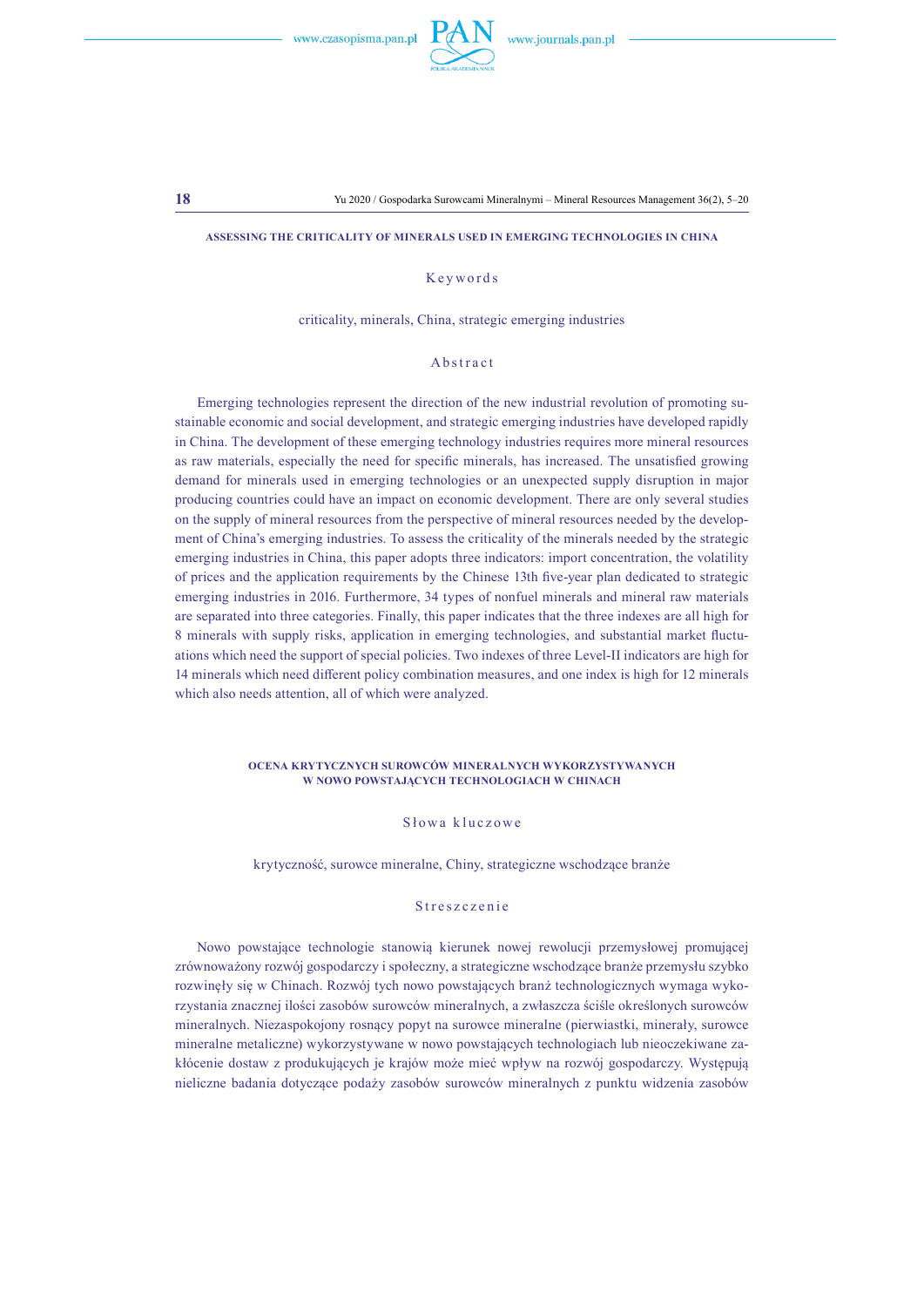

#### **Assessing the criticality of minerals used in emerging technologies in China**

## Keywords

criticality, minerals, China, strategic emerging industries

#### Abstract

Emerging technologies represent the direction of the new industrial revolution of promoting sustainable economic and social development, and strategic emerging industries have developed rapidly in China. The development of these emerging technology industries requires more mineral resources as raw materials, especially the need for specific minerals, has increased. The unsatisfied growing demand for minerals used in emerging technologies or an unexpected supply disruption in major producing countries could have an impact on economic development. There are only several studies on the supply of mineral resources from the perspective of mineral resources needed by the development of China's emerging industries. To assess the criticality of the minerals needed by the strategic emerging industries in China, this paper adopts three indicators: import concentration, the volatility of prices and the application requirements by the Chinese 13th five-year plan dedicated to strategic emerging industries in 2016. Furthermore, 34 types of nonfuel minerals and mineral raw materials are separated into three categories. Finally, this paper indicates that the three indexes are all high for 8 minerals with supply risks, application in emerging technologies, and substantial market fluctuations which need the support of special policies. Two indexes of three Level-II indicators are high for 14 minerals which need different policy combination measures, and one index is high for 12 minerals which also needs attention, all of which were analyzed.

#### **Ocena krytycznych surowców mineralnych wykorzystywanych w nowo powstających technologiach w Chinach**

# Słowa kluczowe

krytyczność, surowce mineralne, Chiny, strategiczne wschodzące branże

### Streszczenie

Nowo powstające technologie stanowią kierunek nowej rewolucji przemysłowej promującej zrównoważony rozwój gospodarczy i społeczny, a strategiczne wschodzące branże przemysłu szybko rozwinęły się w Chinach. Rozwój tych nowo powstających branż technologicznych wymaga wykorzystania znacznej ilości zasobów surowców mineralnych, a zwłaszcza ściśle określonych surowców mineralnych. Niezaspokojony rosnący popyt na surowce mineralne (pierwiastki, minerały, surowce mineralne metaliczne) wykorzystywane w nowo powstających technologiach lub nieoczekiwane zakłócenie dostaw z produkujących je krajów może mieć wpływ na rozwój gospodarczy. Występują nieliczne badania dotyczące podaży zasobów surowców mineralnych z punktu widzenia zasobów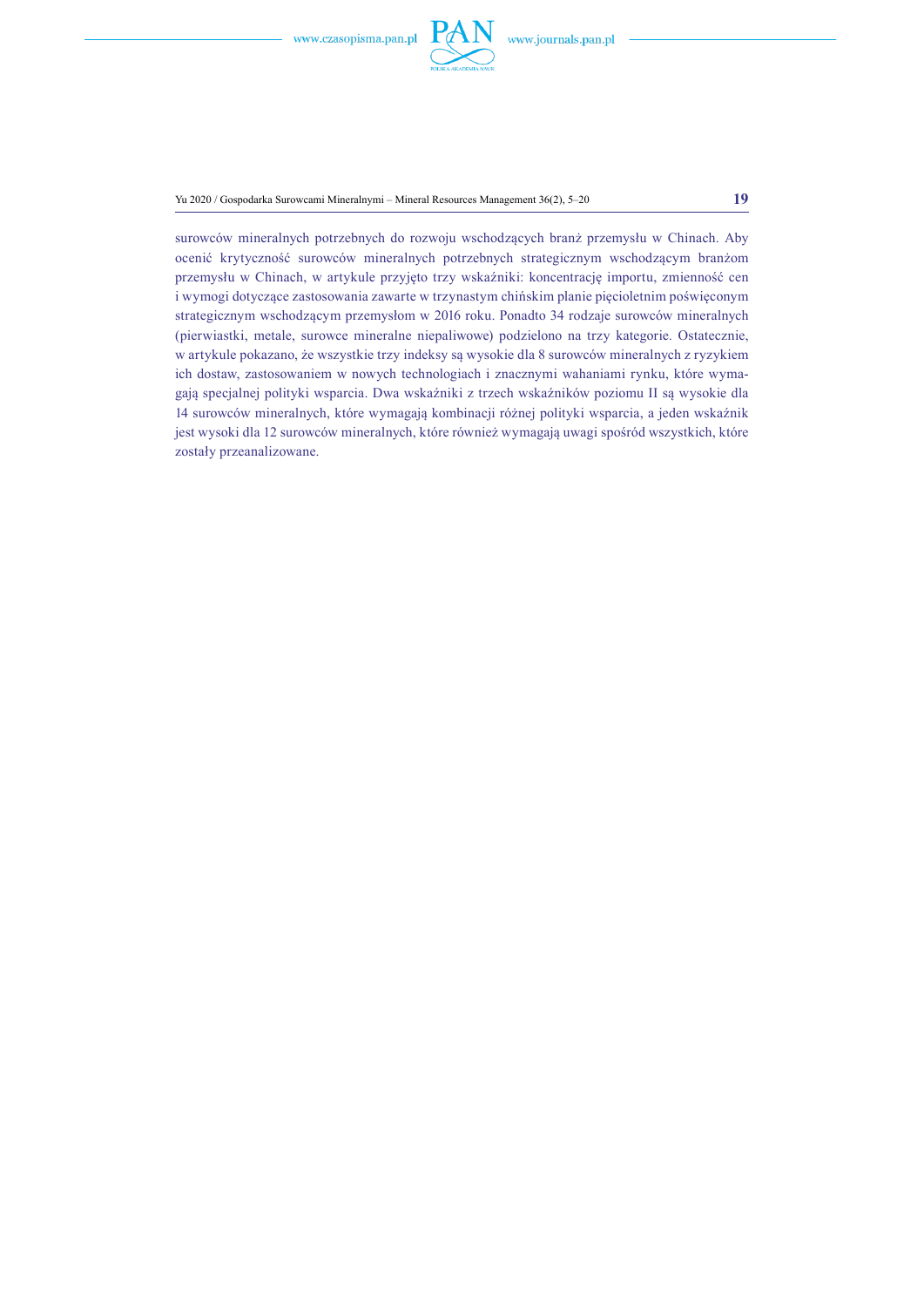

Yu 2020 / Gospodarka Surowcami Mineralnymi – Mineral Resources Management 36(2), 5–20 **19**

surowców mineralnych potrzebnych do rozwoju wschodzących branż przemysłu w Chinach. Aby ocenić krytyczność surowców mineralnych potrzebnych strategicznym wschodzącym branżom przemysłu w Chinach, w artykule przyjęto trzy wskaźniki: koncentrację importu, zmienność cen i wymogi dotyczące zastosowania zawarte w trzynastym chińskim planie pięcioletnim poświęconym strategicznym wschodzącym przemysłom w 2016 roku. Ponadto 34 rodzaje surowców mineralnych (pierwiastki, metale, surowce mineralne niepaliwowe) podzielono na trzy kategorie. Ostatecznie, w artykule pokazano, że wszystkie trzy indeksy są wysokie dla 8 surowców mineralnych z ryzykiem ich dostaw, zastosowaniem w nowych technologiach i znacznymi wahaniami rynku, które wymagają specjalnej polityki wsparcia. Dwa wskaźniki z trzech wskaźników poziomu II są wysokie dla 14 surowców mineralnych, które wymagają kombinacji różnej polityki wsparcia, a jeden wskaźnik jest wysoki dla 12 surowców mineralnych, które również wymagają uwagi spośród wszystkich, które zostały przeanalizowane.